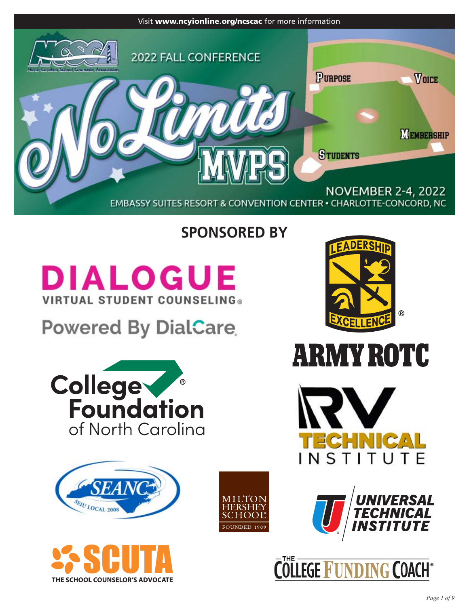

# **SPONSORED BY**

# **DIALOGUE VIRTUAL STUDENT COUNSELING®**

# **Powered By DialCare**

















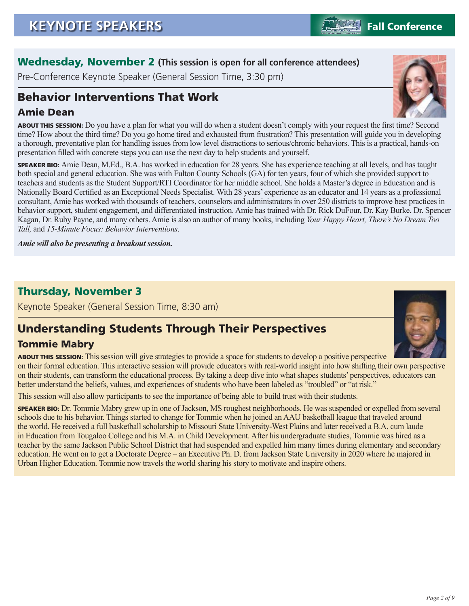*Page 2 of 9*

### Wednesday, November 2 **(This session is open for all conference attendees)**

Pre-Conference Keynote Speaker (General Session Time, 3:30 pm)

# Behavior Interventions That Work

### Amie Dean

ABOUT THIS SESSION: Do you have a plan for what you will do when a student doesn't comply with your request the first time? Second time? How about the third time? Do you go home tired and exhausted from frustration? This presentation will guide you in developing a thorough, preventative plan for handling issues from low level distractions to serious/chronic behaviors. This is a practical, hands-on presentation filled with concrete steps you can use the next day to help students and yourself.

SPEAKER BIO: Amie Dean, M.Ed., B.A. has worked in education for 28 years. She has experience teaching at all levels, and has taught both special and general education. She was with Fulton County Schools (GA) for ten years, four of which she provided support to teachers and students as the Student Support/RTI Coordinator for her middle school. She holds a Master's degree in Education and is Nationally Board Certified as an Exceptional Needs Specialist. With 28 years' experience as an educator and 14 years as a professional consultant, Amie has worked with thousands of teachers, counselors and administrators in over 250 districts to improve best practices in behavior support, student engagement, and differentiated instruction. Amie has trained with Dr. Rick DuFour, Dr. Kay Burke, Dr. Spencer Kagan, Dr. Ruby Payne, and many others. Amie is also an author of many books, including *Your Happy Heart, There's No Dream Too Tall,* and *15-Minute Focus: Behavior Interventions*.

*Amie will also be presenting a breakout session.*

### Thursday, November 3

Keynote Speaker (General Session Time, 8:30 am)

# Understanding Students Through Their Perspectives

### Tommie Mabry

ABOUT THIS SESSION: This session will give strategies to provide a space for students to develop a positive perspective on their formal education. This interactive session will provide educators with real-world insight into how shifting their own perspective on their students, can transform the educational process. By taking a deep dive into what shapes students' perspectives, educators can better understand the beliefs, values, and experiences of students who have been labeled as "troubled" or "at risk."

This session will also allow participants to see the importance of being able to build trust with their students.

SPEAKER BIO: Dr. Tommie Mabry grew up in one of Jackson, MS roughest neighborhoods. He was suspended or expelled from several schools due to his behavior. Things started to change for Tommie when he joined an AAU basketball league that traveled around the world. He received a full basketball scholarship to Missouri State University-West Plains and later received a B.A. cum laude in Education from Tougaloo College and his M.A. in Child Development. After his undergraduate studies, Tommie was hired as a teacher by the same Jackson Public School District that had suspended and expelled him many times during elementary and secondary education. He went on to get a Doctorate Degree – an Executive Ph. D. from Jackson State University in 2020 where he majored in Urban Higher Education. Tommie now travels the world sharing his story to motivate and inspire others.





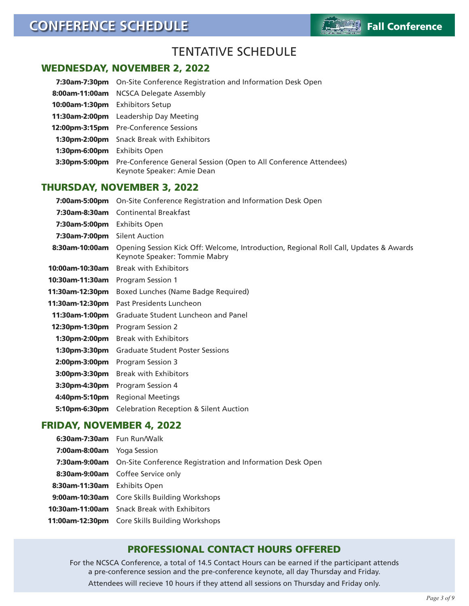

### TENTATIVE SCHEDULE

#### WEDNESDAY, NOVEMBER 2, 2022

|                  | 7:30am-7:30pm On-Site Conference Registration and Information Desk Open                         |
|------------------|-------------------------------------------------------------------------------------------------|
| 8:00am-11:00am   | NCSCA Delegate Assembly                                                                         |
| 10:00am-1:30pm   | <b>Exhibitors Setup</b>                                                                         |
| 11:30am-2:00pm   | Leadership Day Meeting                                                                          |
|                  | <b>12:00pm-3:15pm</b> Pre-Conference Sessions                                                   |
|                  | <b>1:30pm-2:00pm</b> Snack Break with Exhibitors                                                |
| $1:30$ pm-6:00pm | <b>Exhibits Open</b>                                                                            |
| 3:30pm-5:00pm    | Pre-Conference General Session (Open to All Conference Attendees)<br>Keynote Speaker: Amie Dean |

#### THURSDAY, NOVEMBER 3, 2022

| 7:00am-5:00pm   | On-Site Conference Registration and Information Desk Open                                                              |
|-----------------|------------------------------------------------------------------------------------------------------------------------|
| 7:30am-8:30am   | <b>Continental Breakfast</b>                                                                                           |
| 7:30am-5:00pm   | Exhibits Open                                                                                                          |
| 7:30am-7:00pm   | <b>Silent Auction</b>                                                                                                  |
| 8:30am-10:00am  | Opening Session Kick Off: Welcome, Introduction, Regional Roll Call, Updates & Awards<br>Keynote Speaker: Tommie Mabry |
| 10:00am-10:30am | <b>Break with Exhibitors</b>                                                                                           |
| 10:30am-11:30am | Program Session 1                                                                                                      |
| 11:30am-12:30pm | Boxed Lunches (Name Badge Required)                                                                                    |
| 11:30am-12:30pm | Past Presidents Luncheon                                                                                               |
| 11:30am-1:00pm  | Graduate Student Luncheon and Panel                                                                                    |
| 12:30pm-1:30pm  | Program Session 2                                                                                                      |
| 1:30pm-2:00pm   | <b>Break with Exhibitors</b>                                                                                           |
| 1:30pm-3:30pm   | <b>Graduate Student Poster Sessions</b>                                                                                |
| 2:00pm-3:00pm   | Program Session 3                                                                                                      |
| 3:00pm-3:30pm   | <b>Break with Exhibitors</b>                                                                                           |
| 3:30pm-4:30pm   | Program Session 4                                                                                                      |
| 4:40pm-5:10pm   | <b>Regional Meetings</b>                                                                                               |
| 5:10pm-6:30pm   | <b>Celebration Reception &amp; Silent Auction</b>                                                                      |

#### FRIDAY, NOVEMBER 4, 2022

| 6:30am-7:30am Fun Run/Walk        |                                                                         |
|-----------------------------------|-------------------------------------------------------------------------|
| <b>7:00am-8:00am</b> Yoga Session |                                                                         |
|                                   | 7:30am-9:00am On-Site Conference Registration and Information Desk Open |
|                                   | 8:30am-9:00am Coffee Service only                                       |
| 8:30am-11:30am Exhibits Open      |                                                                         |
|                                   | <b>9:00am-10:30am</b> Core Skills Building Workshops                    |
|                                   | <b>10:30am-11:00am</b> Snack Break with Exhibitors                      |
|                                   | <b>11:00am-12:30pm</b> Core Skills Building Workshops                   |

#### PROFESSIONAL CONTACT HOURS OFFERED

For the NCSCA Conference, a total of 14.5 Contact Hours can be earned if the participant attends a pre-conference session and the pre-conference keynote, all day Thursday and Friday. Attendees will recieve 10 hours if they attend all sessions on Thursday and Friday only.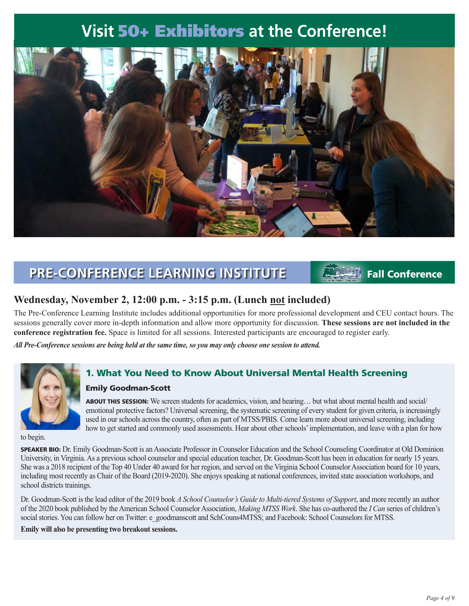# **Visit** 50+ Exhibitors **at the Conference!**



### **PRE-CONFERENCE LEARNING INSTITUTE** Fall Conference

#### **Wednesday, November 2, 12:00 p.m. - 3:15 p.m. (Lunch not included)**

The Pre-Conference Learning Institute includes additional opportunities for more professional development and CEU contact hours. The sessions generally cover more in-depth information and allow more opportunity for discussion. **These sessions are not included in the conference registration fee.** Space is limited for all sessions. Interested participants are encouraged to register early.

*All Pre-Conference sessions are being held at the same time, so you may only choose one session to attend.*



#### 1. What You Need to Know About Universal Mental Health Screening

#### Emily Goodman-Scott

ABOUT THIS SESSION: We screen students for academics, vision, and hearing… but what about mental health and social/ emotional protective factors? Universal screening, the systematic screening of every student for given criteria, is increasingly used in our schools across the country, often as part of MTSS/PBIS. Come learn more about universal screening, including how to get started and commonly used assessments. Hear about other schools' implementation, and leave with a plan for how

to begin.

SPEAKER BIO: Dr. Emily Goodman-Scott is an Associate Professor in Counselor Education and the School Counseling Coordinator at Old Dominion University, in Virginia. As a previous school counselor and special education teacher, Dr. Goodman-Scott has been in education for nearly 15 years. She was a 2018 recipient of the Top 40 Under 40 award for her region, and served on the Virginia School Counselor Association board for 10 years, including most recently as Chair of the Board (2019-2020). She enjoys speaking at national conferences, invited state association workshops, and school districts trainings.

Dr. Goodman-Scott is the lead editor of the 2019 book *A School Counselor's Guide to Multi-tiered Systems of Support*, and more recently an author of the 2020 book published by the American School Counselor Association, *Making MTSS Work*. She has co-authored the *I Can* series of children's social stories. You can follow her on Twitter: e\_goodmanscott and SchCouns4MTSS; and Facebook: School Counselors for MTSS.

**Emily will also be presenting two breakout sessions.**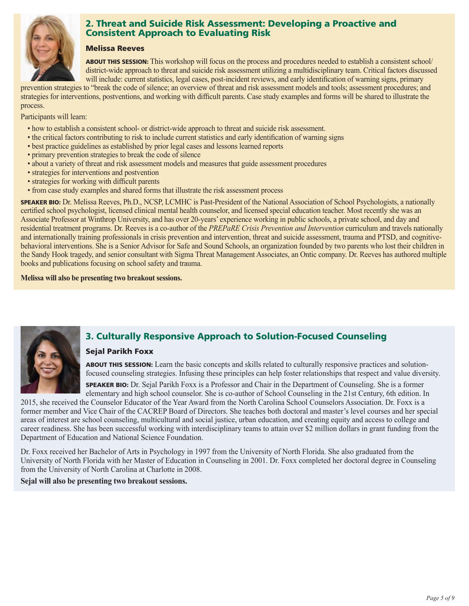

#### 2. Threat and Suicide Risk Assessment: Developing a Proactive and Consistent Approach to Evaluating Risk

#### Melissa Reeves

ABOUT THIS SESSION: This workshop will focus on the process and procedures needed to establish a consistent school/ district-wide approach to threat and suicide risk assessment utilizing a multidisciplinary team. Critical factors discussed will include: current statistics, legal cases, post-incident reviews, and early identification of warning signs, primary

prevention strategies to "break the code of silence; an overview of threat and risk assessment models and tools; assessment procedures; and strategies for interventions, postventions, and working with difficult parents. Case study examples and forms will be shared to illustrate the process.

Participants will learn:

- how to establish a consistent school- or district-wide approach to threat and suicide risk assessment.
- the critical factors contributing to risk to include current statistics and early identification of warning signs
- best practice guidelines as established by prior legal cases and lessons learned reports
- primary prevention strategies to break the code of silence
- about a variety of threat and risk assessment models and measures that guide assessment procedures
- strategies for interventions and postvention
- strategies for working with difficult parents
- from case study examples and shared forms that illustrate the risk assessment process

SPEAKER BIO: Dr. Melissa Reeves, Ph.D., NCSP, LCMHC is Past-President of the National Association of School Psychologists, a nationally certified school psychologist, licensed clinical mental health counselor, and licensed special education teacher. Most recently she was an Associate Professor at Winthrop University, and has over 20-years' experience working in public schools, a private school, and day and residential treatment programs. Dr. Reeves is a co-author of the *PREPaRE Crisis Prevention and Intervention* curriculum and travels nationally and internationally training professionals in crisis prevention and intervention, threat and suicide assessment, trauma and PTSD, and cognitivebehavioral interventions. She is a Senior Advisor for Safe and Sound Schools, an organization founded by two parents who lost their children in the Sandy Hook tragedy, and senior consultant with Sigma Threat Management Associates, an Ontic company. Dr. Reeves has authored multiple books and publications focusing on school safety and trauma.

**Melissa will also be presenting two breakout sessions.**



#### 3. Culturally Responsive Approach to Solution-Focused Counseling

#### Sejal Parikh Foxx

ABOUT THIS SESSION: Learn the basic concepts and skills related to culturally responsive practices and solutionfocused counseling strategies. Infusing these principles can help foster relationships that respect and value diversity.

SPEAKER BIO: Dr. Sejal Parikh Foxx is a Professor and Chair in the Department of Counseling. She is a former elementary and high school counselor. She is co-author of School Counseling in the 21st Century, 6th edition. In

2015, she received the Counselor Educator of the Year Award from the North Carolina School Counselors Association. Dr. Foxx is a former member and Vice Chair of the CACREP Board of Directors. She teaches both doctoral and master's level courses and her special areas of interest are school counseling, multicultural and social justice, urban education, and creating equity and access to college and career readiness. She has been successful working with interdisciplinary teams to attain over \$2 million dollars in grant funding from the Department of Education and National Science Foundation.

Dr. Foxx received her Bachelor of Arts in Psychology in 1997 from the University of North Florida. She also graduated from the University of North Florida with her Master of Education in Counseling in 2001. Dr. Foxx completed her doctoral degree in Counseling from the University of North Carolina at Charlotte in 2008.

**Sejal will also be presenting two breakout sessions.**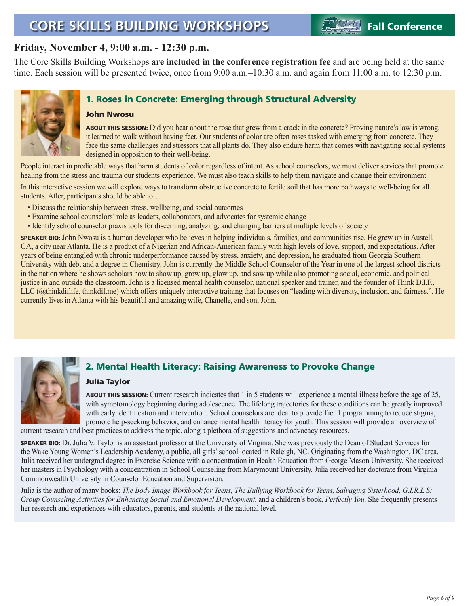# **CORE SKILLS BUILDING WORKSHOPS Fall Conference**

#### **Friday, November 4, 9:00 a.m. - 12:30 p.m.**

The Core Skills Building Workshops **are included in the conference registration fee** and are being held at the same time. Each session will be presented twice, once from 9:00 a.m.–10:30 a.m. and again from 11:00 a.m. to 12:30 p.m.



#### 1. Roses in Concrete: Emerging through Structural Adversity

#### John Nwosu

ABOUT THIS SESSION: Did you hear about the rose that grew from a crack in the concrete? Proving nature's law is wrong, it learned to walk without having feet. Our students of color are often roses tasked with emerging from concrete. They face the same challenges and stressors that all plants do. They also endure harm that comes with navigating social systems designed in opposition to their well-being.

People interact in predictable ways that harm students of color regardless of intent. As school counselors, we must deliver services that promote healing from the stress and trauma our students experience. We must also teach skills to help them navigate and change their environment.

In this interactive session we will explore ways to transform obstructive concrete to fertile soil that has more pathways to well-being for all students. After, participants should be able to…

- Discuss the relationship between stress, wellbeing, and social outcomes
- Examine school counselors' role as leaders, collaborators, and advocates for systemic change
- Identify school counselor praxis tools for discerning, analyzing, and changing barriers at multiple levels of society

SPEAKER BIO: John Nwosu is a human developer who believes in helping individuals, families, and communities rise. He grew up in Austell, GA, a city near Atlanta. He is a product of a Nigerian and African-American family with high levels of love, support, and expectations. After years of being entangled with chronic underperformance caused by stress, anxiety, and depression, he graduated from Georgia Southern University with debt and a degree in Chemistry. John is currently the Middle School Counselor of the Year in one of the largest school districts in the nation where he shows scholars how to show up, grow up, glow up, and sow up while also promoting social, economic, and political justice in and outside the classroom. John is a licensed mental health counselor, national speaker and trainer, and the founder of Think D.I.F., LLC (@thinkdiflife, thinkdif.me) which offers uniquely interactive training that focuses on "leading with diversity, inclusion, and fairness.". He currently lives in Atlanta with his beautiful and amazing wife, Chanelle, and son, John.



#### 2. Mental Health Literacy: Raising Awareness to Provoke Change

#### Julia Taylor

ABOUT THIS SESSION: Current research indicates that 1 in 5 students will experience a mental illness before the age of 25, with symptomology beginning during adolescence. The lifelong trajectories for these conditions can be greatly improved with early identification and intervention. School counselors are ideal to provide Tier 1 programming to reduce stigma, promote help-seeking behavior, and enhance mental health literacy for youth. This session will provide an overview of

current research and best practices to address the topic, along a plethora of suggestions and advocacy resources.

SPEAKER BIO: Dr. Julia V. Taylor is an assistant professor at the University of Virginia. She was previously the Dean of Student Services for the Wake Young Women's Leadership Academy, a public, all girls' school located in Raleigh, NC. Originating from the Washington, DC area, Julia received her undergrad degree in Exercise Science with a concentration in Health Education from George Mason University. She received her masters in Psychology with a concentration in School Counseling from Marymount University. Julia received her doctorate from Virginia Commonwealth University in Counselor Education and Supervision.

Julia is the author of many books: *The Body Image Workbook for Teens, The Bullying Workbook for Teens, Salvaging Sisterhood, G.I.R.L.S: Group Counseling Activities for Enhancing Social and Emotional Development*, and a children's book, *Perfectly You*. She frequently presents her research and experiences with educators, parents, and students at the national level.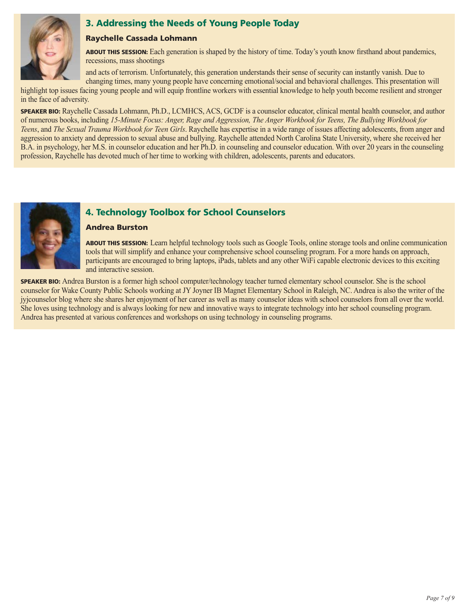

#### 3. Addressing the Needs of Young People Today

#### Raychelle Cassada Lohmann

ABOUT THIS SESSION: Each generation is shaped by the history of time. Today's youth know firsthand about pandemics, recessions, mass shootings

and acts of terrorism. Unfortunately, this generation understands their sense of security can instantly vanish. Due to changing times, many young people have concerning emotional/social and behavioral challenges. This presentation will

highlight top issues facing young people and will equip frontline workers with essential knowledge to help youth become resilient and stronger in the face of adversity.

SPEAKER BIO: Raychelle Cassada Lohmann, Ph.D., LCMHCS, ACS, GCDF is a counselor educator, clinical mental health counselor, and author of numerous books, including *15-Minute Focus: Anger, Rage and Aggression, The Anger Workbook for Teens, The Bullying Workbook for Teens*, and *The Sexual Trauma Workbook for Teen Girls*. Raychelle has expertise in a wide range of issues affecting adolescents, from anger and aggression to anxiety and depression to sexual abuse and bullying. Raychelle attended North Carolina State University, where she received her B.A. in psychology, her M.S. in counselor education and her Ph.D. in counseling and counselor education. With over 20 years in the counseling profession, Raychelle has devoted much of her time to working with children, adolescents, parents and educators.



#### 4. Technology Toolbox for School Counselors

#### Andrea Burston

ABOUT THIS SESSION: Learn helpful technology tools such as Google Tools, online storage tools and online communication tools that will simplify and enhance your comprehensive school counseling program. For a more hands on approach, participants are encouraged to bring laptops, iPads, tablets and any other WiFi capable electronic devices to this exciting and interactive session.

SPEAKER BIO: Andrea Burston is a former high school computer/technology teacher turned elementary school counselor. She is the school counselor for Wake County Public Schools working at JY Joyner IB Magnet Elementary School in Raleigh, NC. Andrea is also the writer of the jyjcounselor blog where she shares her enjoyment of her career as well as many counselor ideas with school counselors from all over the world. She loves using technology and is always looking for new and innovative ways to integrate technology into her school counseling program. Andrea has presented at various conferences and workshops on using technology in counseling programs.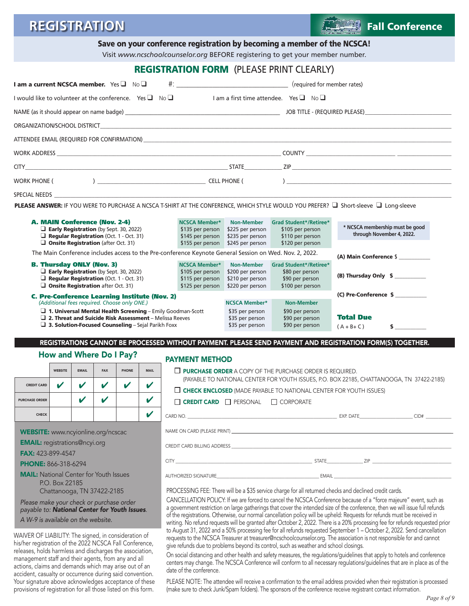## **REGISTRATION Fall Conference**

Save on your conference registration by becoming a member of the NCSCA!

Visit *www.ncschoolcounselor.org* BEFORE registering to get your member number.

|                                                                                                                                                                                                                                                                                                  |                            |                            |                                                                                                                                                                                                                                                                                                                                                                                                                                                                                        |                            |                                                                                  |                                                                                                                                                                                                                                |                                                                                    | <b>REGISTRATION FORM (PLEASE PRINT CLEARLY)</b>                                                                                                                                                                                |                                                                                                                                                                                                                                |  |
|--------------------------------------------------------------------------------------------------------------------------------------------------------------------------------------------------------------------------------------------------------------------------------------------------|----------------------------|----------------------------|----------------------------------------------------------------------------------------------------------------------------------------------------------------------------------------------------------------------------------------------------------------------------------------------------------------------------------------------------------------------------------------------------------------------------------------------------------------------------------------|----------------------------|----------------------------------------------------------------------------------|--------------------------------------------------------------------------------------------------------------------------------------------------------------------------------------------------------------------------------|------------------------------------------------------------------------------------|--------------------------------------------------------------------------------------------------------------------------------------------------------------------------------------------------------------------------------|--------------------------------------------------------------------------------------------------------------------------------------------------------------------------------------------------------------------------------|--|
| I am a current NCSCA member. Yes $\Box$ No $\Box$                                                                                                                                                                                                                                                |                            |                            |                                                                                                                                                                                                                                                                                                                                                                                                                                                                                        |                            |                                                                                  |                                                                                                                                                                                                                                |                                                                                    |                                                                                                                                                                                                                                |                                                                                                                                                                                                                                |  |
| I would like to volunteer at the conference. Yes $\Box$ No $\Box$                                                                                                                                                                                                                                |                            |                            |                                                                                                                                                                                                                                                                                                                                                                                                                                                                                        |                            |                                                                                  |                                                                                                                                                                                                                                |                                                                                    | I am a first time attendee. Yes $\Box$ No $\Box$                                                                                                                                                                               |                                                                                                                                                                                                                                |  |
|                                                                                                                                                                                                                                                                                                  |                            |                            |                                                                                                                                                                                                                                                                                                                                                                                                                                                                                        |                            |                                                                                  |                                                                                                                                                                                                                                |                                                                                    |                                                                                                                                                                                                                                |                                                                                                                                                                                                                                |  |
|                                                                                                                                                                                                                                                                                                  |                            |                            |                                                                                                                                                                                                                                                                                                                                                                                                                                                                                        |                            |                                                                                  |                                                                                                                                                                                                                                |                                                                                    |                                                                                                                                                                                                                                |                                                                                                                                                                                                                                |  |
|                                                                                                                                                                                                                                                                                                  |                            |                            |                                                                                                                                                                                                                                                                                                                                                                                                                                                                                        |                            |                                                                                  |                                                                                                                                                                                                                                |                                                                                    | ATTENDEE EMAIL (REQUIRED FOR CONFIRMATION) And the control of the control of the control of the control of the control of the control of the control of the control of the control of the control of the control of the contro |                                                                                                                                                                                                                                |  |
|                                                                                                                                                                                                                                                                                                  |                            |                            |                                                                                                                                                                                                                                                                                                                                                                                                                                                                                        |                            |                                                                                  |                                                                                                                                                                                                                                |                                                                                    |                                                                                                                                                                                                                                |                                                                                                                                                                                                                                |  |
|                                                                                                                                                                                                                                                                                                  |                            |                            |                                                                                                                                                                                                                                                                                                                                                                                                                                                                                        |                            |                                                                                  |                                                                                                                                                                                                                                |                                                                                    |                                                                                                                                                                                                                                |                                                                                                                                                                                                                                |  |
|                                                                                                                                                                                                                                                                                                  |                            |                            |                                                                                                                                                                                                                                                                                                                                                                                                                                                                                        |                            |                                                                                  |                                                                                                                                                                                                                                |                                                                                    |                                                                                                                                                                                                                                |                                                                                                                                                                                                                                |  |
|                                                                                                                                                                                                                                                                                                  |                            |                            |                                                                                                                                                                                                                                                                                                                                                                                                                                                                                        |                            |                                                                                  | SPECIAL NEEDS AND THE STATE OF THE STATE OF THE STATE OF THE STATE OF THE STATE OF THE STATE OF THE STATE OF THE STATE OF THE STATE OF THE STATE OF THE STATE OF THE STATE OF THE STATE OF THE STATE OF THE STATE OF THE STATE |                                                                                    |                                                                                                                                                                                                                                |                                                                                                                                                                                                                                |  |
|                                                                                                                                                                                                                                                                                                  |                            |                            |                                                                                                                                                                                                                                                                                                                                                                                                                                                                                        |                            |                                                                                  |                                                                                                                                                                                                                                |                                                                                    |                                                                                                                                                                                                                                | PLEASE ANSWER: IF YOU WERE TO PURCHASE A NCSCA T-SHIRT AT THE CONFERENCE, WHICH STYLE WOULD YOU PREFER? □ Short-sleeve □ Long-sleeve                                                                                           |  |
| A. MAIN Conference (Nov. 2-4)<br>$\Box$ Early Registration (by Sept. 30, 2022)<br>$\Box$ Regular Registration (Oct. 1 - Oct. 31)<br>$\Box$ Onsite Registration (after Oct. 31)                                                                                                                   |                            |                            |                                                                                                                                                                                                                                                                                                                                                                                                                                                                                        |                            | <b>NCSCA Member*</b><br>\$135 per person<br>\$145 per person<br>\$155 per person | <b>Non-Member</b><br>\$225 per person<br>\$235 per person<br>\$245 per person                                                                                                                                                  | Grad Student*/Retiree*<br>\$105 per person<br>\$110 per person<br>\$120 per person | * NCSCA membership must be good<br>through November 4, 2022.                                                                                                                                                                   |                                                                                                                                                                                                                                |  |
|                                                                                                                                                                                                                                                                                                  |                            |                            |                                                                                                                                                                                                                                                                                                                                                                                                                                                                                        |                            |                                                                                  | The Main Conference includes access to the Pre-conference Keynote General Session on Wed. Nov. 2, 2022.                                                                                                                        |                                                                                    |                                                                                                                                                                                                                                | (A) Main Conference \$                                                                                                                                                                                                         |  |
| <b>B. Thursday ONLY (Nov. 3)</b><br>$\Box$ Early Registration (by Sept. 30, 2022)<br>$\Box$ Regular Registration (Oct. 1 - Oct. 31)<br>$\Box$ Onsite Registration after Oct. 31)                                                                                                                 |                            |                            |                                                                                                                                                                                                                                                                                                                                                                                                                                                                                        |                            |                                                                                  | <b>NCSCA Member*</b><br>\$105 per person<br>\$115 per person<br>\$125 per person                                                                                                                                               | <b>Non-Member</b><br>\$200 per person<br>\$210 per person<br>\$220 per person      | <b>Grad Student*/Retiree*</b><br>\$80 per person<br>\$90 per person<br>\$100 per person                                                                                                                                        | (B) Thursday Only \$<br>(C) Pre-Conference \$<br><b>Total Due</b><br>$\sim$<br>$(A + B + C)$                                                                                                                                   |  |
| <b>C. Pre-Conference Learning Institute (Nov. 2)</b><br>(Additional fees required. Choose only ONE.)<br>$\Box$ 1. Universal Mental Health Screening - Emily Goodman-Scott<br>$\Box$ 2. Threat and Suicide Risk Assessment - Melissa Reeves<br>3. Solution-Focused Counseling - Sejal Parikh Foxx |                            |                            |                                                                                                                                                                                                                                                                                                                                                                                                                                                                                        |                            |                                                                                  | <b>NCSCA Member*</b><br>\$35 per person<br>\$35 per person<br>\$35 per person                                                                                                                                                  | <b>Non-Member</b><br>\$90 per person<br>\$90 per person<br>\$90 per person         |                                                                                                                                                                                                                                |                                                                                                                                                                                                                                |  |
|                                                                                                                                                                                                                                                                                                  |                            |                            |                                                                                                                                                                                                                                                                                                                                                                                                                                                                                        |                            |                                                                                  |                                                                                                                                                                                                                                |                                                                                    |                                                                                                                                                                                                                                | REGISTRATIONS CANNOT BE PROCESSED WITHOUT PAYMENT. PLEASE SEND PAYMENT AND REGISTRATION FORM(S) TOGETHER.                                                                                                                      |  |
|                                                                                                                                                                                                                                                                                                  |                            |                            |                                                                                                                                                                                                                                                                                                                                                                                                                                                                                        | How and Where Do I Pay?    |                                                                                  | <b>PAYMENT METHOD</b>                                                                                                                                                                                                          |                                                                                    |                                                                                                                                                                                                                                |                                                                                                                                                                                                                                |  |
|                                                                                                                                                                                                                                                                                                  | <b>WEBSITE</b>             | <b>EMAIL</b>               | <b>FAX</b>                                                                                                                                                                                                                                                                                                                                                                                                                                                                             | PHONE                      | <b>MAIL</b>                                                                      | $\Box$ PURCHASE ORDER A COPY OF THE PURCHASE ORDER IS REQUIRED.                                                                                                                                                                |                                                                                    |                                                                                                                                                                                                                                |                                                                                                                                                                                                                                |  |
| <b>CREDIT CARD</b>                                                                                                                                                                                                                                                                               | $\boldsymbol{\mathcal{U}}$ | $\mathbf{v}$               | $\mathbf v$                                                                                                                                                                                                                                                                                                                                                                                                                                                                            | $\boldsymbol{\mathcal{U}}$ | $\mathbf v$                                                                      |                                                                                                                                                                                                                                |                                                                                    |                                                                                                                                                                                                                                | (PAYABLE TO NATIONAL CENTER FOR YOUTH ISSUES, P.O. BOX 22185, CHATTANOOGA, TN 37422-2185)                                                                                                                                      |  |
| <b>PURCHASE ORDER</b>                                                                                                                                                                                                                                                                            |                            | $\boldsymbol{\mathcal{U}}$ | $\boldsymbol{\mathcal{U}}$                                                                                                                                                                                                                                                                                                                                                                                                                                                             |                            | $\boldsymbol{\nu}$                                                               | $\Box$ CREDIT CARD $\Box$ PERSONAL $\Box$ CORPORATE                                                                                                                                                                            |                                                                                    | $\Box$ CHECK ENCLOSED (MADE PAYABLE TO NATIONAL CENTER FOR YOUTH ISSUES)                                                                                                                                                       |                                                                                                                                                                                                                                |  |
| <b>CHECK</b>                                                                                                                                                                                                                                                                                     |                            |                            |                                                                                                                                                                                                                                                                                                                                                                                                                                                                                        |                            |                                                                                  |                                                                                                                                                                                                                                |                                                                                    |                                                                                                                                                                                                                                |                                                                                                                                                                                                                                |  |
|                                                                                                                                                                                                                                                                                                  |                            |                            |                                                                                                                                                                                                                                                                                                                                                                                                                                                                                        |                            |                                                                                  | CARD NO.                                                                                                                                                                                                                       |                                                                                    |                                                                                                                                                                                                                                |                                                                                                                                                                                                                                |  |
| <b>WEBSITE:</b> www.ncyionline.org/ncscac                                                                                                                                                                                                                                                        |                            |                            |                                                                                                                                                                                                                                                                                                                                                                                                                                                                                        |                            |                                                                                  |                                                                                                                                                                                                                                |                                                                                    |                                                                                                                                                                                                                                | NAME ON CARD (PLEASE PRINT) LEADER AND THE SERVICE OF STATE OF STATE OF STATE OF STATE OF STATE OF STATE OF STATE OF STATE OF STATE OF STATE OF STATE OF STATE OF STATE OF STATE OF STATE OF STATE OF STATE OF STATE OF STATE  |  |
| <b>EMAIL:</b> registrations@ncyi.org                                                                                                                                                                                                                                                             |                            |                            |                                                                                                                                                                                                                                                                                                                                                                                                                                                                                        |                            |                                                                                  |                                                                                                                                                                                                                                |                                                                                    |                                                                                                                                                                                                                                | CREDIT CARD BILLING ADDRESS AND THE STATE OF THE STATE OF THE STATE OF THE STATE OF THE STATE OF THE STATE OF THE STATE OF THE STATE OF THE STATE OF THE STATE OF THE STATE OF THE STATE OF THE STATE OF THE STATE OF THE STAT |  |
| <b>FAX: 423-899-4547</b><br><b>PHONE: 866-318-6294</b>                                                                                                                                                                                                                                           |                            |                            |                                                                                                                                                                                                                                                                                                                                                                                                                                                                                        |                            |                                                                                  |                                                                                                                                                                                                                                |                                                                                    |                                                                                                                                                                                                                                |                                                                                                                                                                                                                                |  |
| <b>MAIL:</b> National Center for Youth Issues                                                                                                                                                                                                                                                    |                            |                            |                                                                                                                                                                                                                                                                                                                                                                                                                                                                                        |                            |                                                                                  |                                                                                                                                                                                                                                |                                                                                    |                                                                                                                                                                                                                                |                                                                                                                                                                                                                                |  |
| P.O. Box 22185<br>Chattanooga, TN 37422-2185<br>Please make your check or purchase order<br>payable to: National Center for Youth Issues.<br>$\overline{u}$                                                                                                                                      |                            |                            | PROCESSING FEE: There will be a \$35 service charge for all returned checks and declined credit cards.<br>CANCELLATION POLICY: If we are forced to cancel the NCSCA Conference because of a "force majeure" event, such as<br>a government restriction on large gatherings that cover the intended size of the conference, then we will issue full refunds<br>of the registrations. Otherwise, our normal cancellation policy will be upheld: Requests for refunds must be received in |                            |                                                                                  |                                                                                                                                                                                                                                |                                                                                    |                                                                                                                                                                                                                                |                                                                                                                                                                                                                                |  |

*A W-9 is available on the website.*

WAIVER OF LIABILITY: The signed, in consideration of his/her registration of the 2022 NCSCA Fall Conference, releases, holds harmless and discharges the association, management staff and their agents, from any and all actions, claims and demands which may arise out of an accident, casualty or occurrence during said convention. Your signature above acknowledges acceptance of these provisions of registration for all those listed on this form.

On social distancing and other health and safety measures, the regulations/guidelines that apply to hotels and conference centers may change. The NCSCA Conference will conform to all necessary regulations/guidelines that are in place as of the date of the conference.

give refunds due to problems beyond its control, such as weather and school closings.

writing. No refund requests will be granted after October 2, 2022. There is a 20% processing fee for refunds requested prior to August 31, 2022 and a 50% processing fee for all refunds requested September 1 – October 2, 2022. Send cancellation requests to the NCSCA Treasurer at treasurer@ncschoolcounselor.org. The association is not responsible for and cannot

PLEASE NOTE: The attendee will receive a confirmation to the email address provided when their registration is processed (make sure to check Junk/Spam folders). The sponsors of the conference receive registrant contact information.